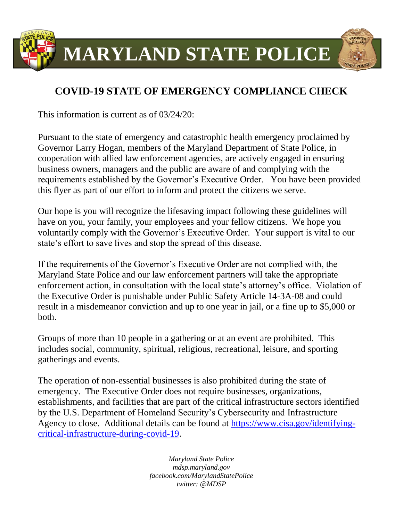

## **COVID-19 STATE OF EMERGENCY COMPLIANCE CHECK**

This information is current as of 03/24/20:

Pursuant to the state of emergency and catastrophic health emergency proclaimed by Governor Larry Hogan, members of the Maryland Department of State Police, in cooperation with allied law enforcement agencies, are actively engaged in ensuring business owners, managers and the public are aware of and complying with the requirements established by the Governor's Executive Order. You have been provided this flyer as part of our effort to inform and protect the citizens we serve.

Our hope is you will recognize the lifesaving impact following these guidelines will have on you, your family, your employees and your fellow citizens. We hope you voluntarily comply with the Governor's Executive Order. Your support is vital to our state's effort to save lives and stop the spread of this disease.

If the requirements of the Governor's Executive Order are not complied with, the Maryland State Police and our law enforcement partners will take the appropriate enforcement action, in consultation with the local state's attorney's office. Violation of the Executive Order is punishable under Public Safety Article 14-3A-08 and could result in a misdemeanor conviction and up to one year in jail, or a fine up to \$5,000 or both.

Groups of more than 10 people in a gathering or at an event are prohibited. This includes social, community, spiritual, religious, recreational, leisure, and sporting gatherings and events.

The operation of non-essential businesses is also prohibited during the state of emergency. The Executive Order does not require businesses, organizations, establishments, and facilities that are part of the critical infrastructure sectors identified by the U.S. Department of Homeland Security's Cybersecurity and Infrastructure Agency to close. Additional details can be found at [https://www.cisa.gov/identifying](https://www.cisa.gov/identifying-critical-infrastructure-during-covid-19)[critical-infrastructure-during-covid-19.](https://www.cisa.gov/identifying-critical-infrastructure-during-covid-19)

> *Maryland State Police mdsp.maryland.gov facebook.com/MarylandStatePolice twitter: @MDSP*